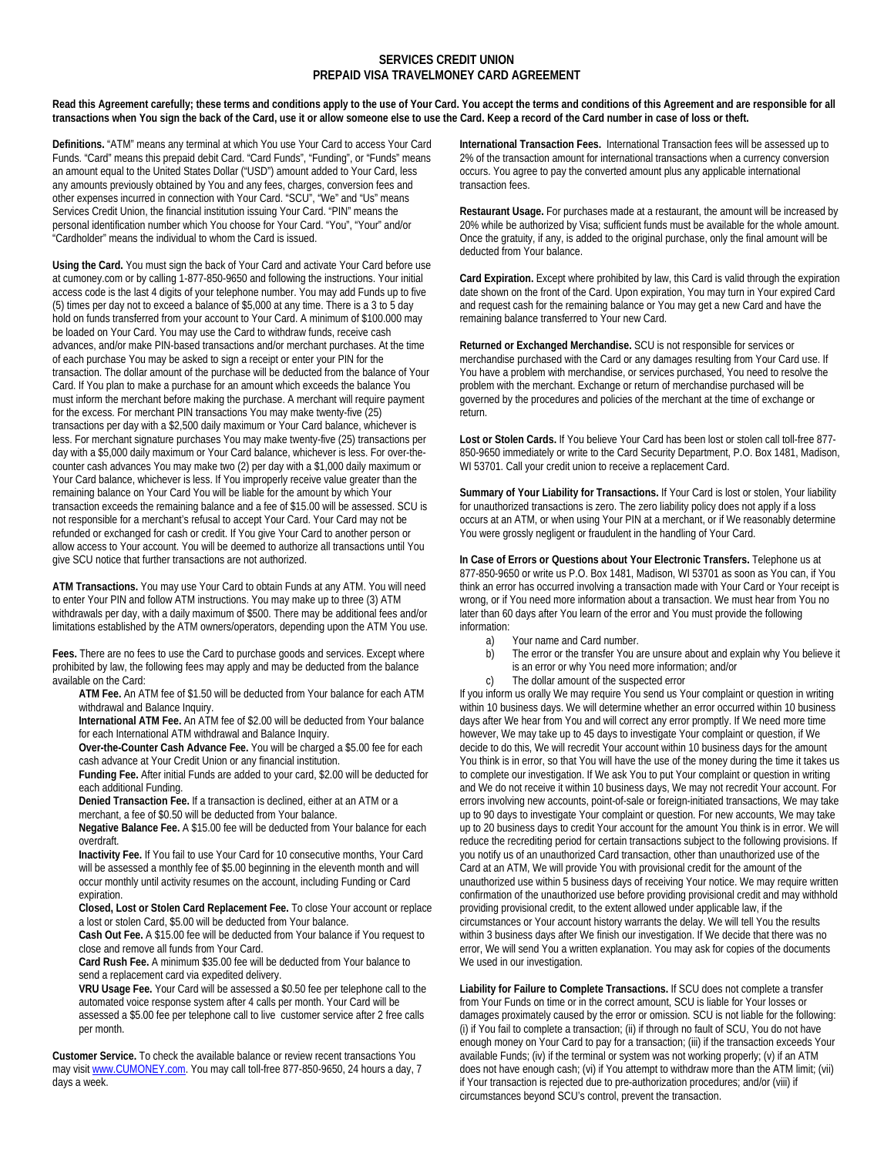## **SERVICES CREDIT UNION PREPAID VISA TRAVELMONEY CARD AGREEMENT**

Read this Agreement carefully; these terms and conditions apply to the use of Your Card. You accept the terms and conditions of this Agreement and are responsible for all **transactions when You sign the back of the Card, use it or allow someone else to use the Card. Keep a record of the Card number in case of loss or theft.** 

**Definitions.** "ATM" means any terminal at which You use Your Card to access Your Card Funds. "Card" means this prepaid debit Card. "Card Funds", "Funding", or "Funds" means an amount equal to the United States Dollar ("USD") amount added to Your Card, less any amounts previously obtained by You and any fees, charges, conversion fees and other expenses incurred in connection with Your Card. "SCU", "We" and "Us" means Services Credit Union, the financial institution issuing Your Card. "PIN" means the personal identification number which You choose for Your Card. "You", "Your" and/or "Cardholder" means the individual to whom the Card is issued.

**Using the Card.** You must sign the back of Your Card and activate Your Card before use at cumoney.com or by calling 1-877-850-9650 and following the instructions. Your initial access code is the last 4 digits of your telephone number. You may add Funds up to five (5) times per day not to exceed a balance of \$5,000 at any time. There is a 3 to 5 day hold on funds transferred from your account to Your Card. A minimum of \$100.000 may be loaded on Your Card. You may use the Card to withdraw funds, receive cash advances, and/or make PIN-based transactions and/or merchant purchases. At the time of each purchase You may be asked to sign a receipt or enter your PIN for the transaction. The dollar amount of the purchase will be deducted from the balance of Your Card. If You plan to make a purchase for an amount which exceeds the balance You must inform the merchant before making the purchase. A merchant will require payment for the excess. For merchant PIN transactions You may make twenty-five (25) transactions per day with a \$2,500 daily maximum or Your Card balance, whichever is less. For merchant signature purchases You may make twenty-five (25) transactions per day with a \$5,000 daily maximum or Your Card balance, whichever is less. For over-thecounter cash advances You may make two (2) per day with a \$1,000 daily maximum or Your Card balance, whichever is less. If You improperly receive value greater than the remaining balance on Your Card You will be liable for the amount by which Your transaction exceeds the remaining balance and a fee of \$15.00 will be assessed. SCU is not responsible for a merchant's refusal to accept Your Card. Your Card may not be refunded or exchanged for cash or credit. If You give Your Card to another person or allow access to Your account. You will be deemed to authorize all transactions until You give SCU notice that further transactions are not authorized.

**ATM Transactions.** You may use Your Card to obtain Funds at any ATM. You will need to enter Your PIN and follow ATM instructions. You may make up to three (3) ATM withdrawals per day, with a daily maximum of \$500. There may be additional fees and/or limitations established by the ATM owners/operators, depending upon the ATM You use.

**Fees.** There are no fees to use the Card to purchase goods and services. Except where prohibited by law, the following fees may apply and may be deducted from the balance available on the Card:

- **ATM Fee.** An ATM fee of \$1.50 will be deducted from Your balance for each ATM withdrawal and Balance Inquiry.
- **International ATM Fee.** An ATM fee of \$2.00 will be deducted from Your balance for each International ATM withdrawal and Balance Inquiry.
- **Over-the-Counter Cash Advance Fee.** You will be charged a \$5.00 fee for each cash advance at Your Credit Union or any financial institution.

**Funding Fee.** After initial Funds are added to your card, \$2.00 will be deducted for each additional Funding.

**Denied Transaction Fee.** If a transaction is declined, either at an ATM or a merchant, a fee of \$0.50 will be deducted from Your balance.

**Negative Balance Fee.** A \$15.00 fee will be deducted from Your balance for each overdraft.

**Inactivity Fee.** If You fail to use Your Card for 10 consecutive months, Your Card will be assessed a monthly fee of \$5.00 beginning in the eleventh month and will occur monthly until activity resumes on the account, including Funding or Card expiration.

**Closed, Lost or Stolen Card Replacement Fee.** To close Your account or replace a lost or stolen Card, \$5.00 will be deducted from Your balance.

**Cash Out Fee.** A \$15.00 fee will be deducted from Your balance if You request to close and remove all funds from Your Card.

**Card Rush Fee.** A minimum \$35.00 fee will be deducted from Your balance to send a replacement card via expedited delivery.

**VRU Usage Fee.** Your Card will be assessed a \$0.50 fee per telephone call to the automated voice response system after 4 calls per month. Your Card will be assessed a \$5.00 fee per telephone call to live customer service after 2 free calls per month.

**Customer Service.** To check the available balance or review recent transactions You may visit www.CUMONEY.com. You may call toll-free 877-850-9650, 24 hours a day, 7 days a week.

**International Transaction Fees.** International Transaction fees will be assessed up to 2% of the transaction amount for international transactions when a currency conversion occurs. You agree to pay the converted amount plus any applicable international transaction fees.

**Restaurant Usage.** For purchases made at a restaurant, the amount will be increased by 20% while be authorized by Visa; sufficient funds must be available for the whole amount. Once the gratuity, if any, is added to the original purchase, only the final amount will be deducted from Your balance.

**Card Expiration.** Except where prohibited by law, this Card is valid through the expiration date shown on the front of the Card. Upon expiration, You may turn in Your expired Card and request cash for the remaining balance or You may get a new Card and have the remaining balance transferred to Your new Card.

**Returned or Exchanged Merchandise.** SCU is not responsible for services or merchandise purchased with the Card or any damages resulting from Your Card use. If You have a problem with merchandise, or services purchased, You need to resolve the problem with the merchant. Exchange or return of merchandise purchased will be governed by the procedures and policies of the merchant at the time of exchange or return.

**Lost or Stolen Cards.** If You believe Your Card has been lost or stolen call toll-free 877- 850-9650 immediately or write to the Card Security Department, P.O. Box 1481, Madison, WI 53701. Call your credit union to receive a replacement Card.

**Summary of Your Liability for Transactions.** If Your Card is lost or stolen, Your liability for unauthorized transactions is zero. The zero liability policy does not apply if a loss occurs at an ATM, or when using Your PIN at a merchant, or if We reasonably determine You were grossly negligent or fraudulent in the handling of Your Card.

**In Case of Errors or Questions about Your Electronic Transfers.** Telephone us at 877-850-9650 or write us P.O. Box 1481, Madison, WI 53701 as soon as You can, if You think an error has occurred involving a transaction made with Your Card or Your receipt is wrong, or if You need more information about a transaction. We must hear from You no later than 60 days after You learn of the error and You must provide the following information:

- a) Your name and Card number.
- b) The error or the transfer You are unsure about and explain why You believe it is an error or why You need more information; and/or
- c) The dollar amount of the suspected error

If you inform us orally We may require You send us Your complaint or question in writing within 10 business days. We will determine whether an error occurred within 10 business days after We hear from You and will correct any error promptly. If We need more time however, We may take up to 45 days to investigate Your complaint or question, if We decide to do this, We will recredit Your account within 10 business days for the amount You think is in error, so that You will have the use of the money during the time it takes us to complete our investigation. If We ask You to put Your complaint or question in writing and We do not receive it within 10 business days, We may not recredit Your account. For errors involving new accounts, point-of-sale or foreign-initiated transactions, We may take up to 90 days to investigate Your complaint or question. For new accounts, We may take up to 20 business days to credit Your account for the amount You think is in error. We will reduce the recrediting period for certain transactions subject to the following provisions. If you notify us of an unauthorized Card transaction, other than unauthorized use of the Card at an ATM, We will provide You with provisional credit for the amount of the unauthorized use within 5 business days of receiving Your notice. We may require written confirmation of the unauthorized use before providing provisional credit and may withhold providing provisional credit, to the extent allowed under applicable law, if the circumstances or Your account history warrants the delay. We will tell You the results within 3 business days after We finish our investigation. If We decide that there was no error, We will send You a written explanation. You may ask for copies of the documents We used in our investigation.

**Liability for Failure to Complete Transactions.** If SCU does not complete a transfer from Your Funds on time or in the correct amount, SCU is liable for Your losses or damages proximately caused by the error or omission. SCU is not liable for the following: (i) if You fail to complete a transaction; (ii) if through no fault of SCU, You do not have enough money on Your Card to pay for a transaction; (iii) if the transaction exceeds Your available Funds; (iv) if the terminal or system was not working properly; (v) if an ATM does not have enough cash; (vi) if You attempt to withdraw more than the ATM limit; (vii) if Your transaction is rejected due to pre-authorization procedures; and/or (viii) if circumstances beyond SCU's control, prevent the transaction.